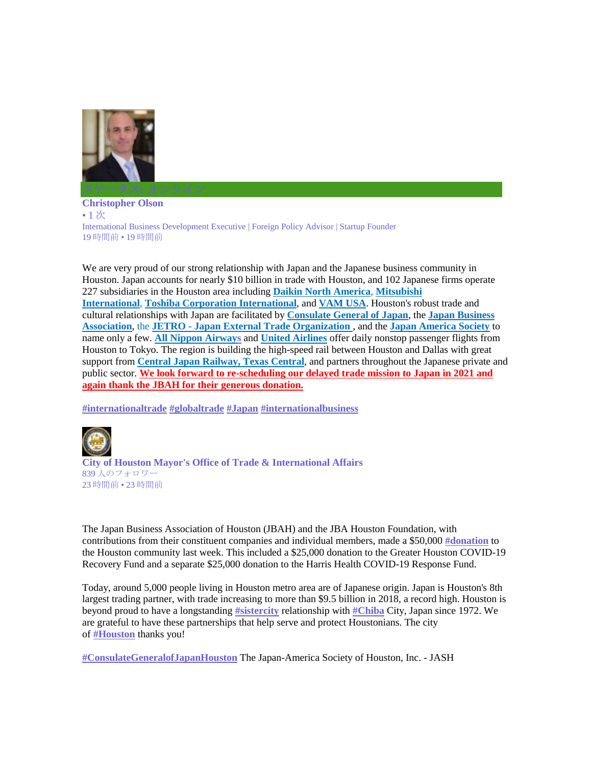

**Christopher Olson** • 1 次 International Business Development Executive | Foreign Policy Advisor | Startup Founder 19 時間前 • 19 時間前

We are very proud of our strong relationship with Japan and the Japanese business community in Houston. Japan accounts for nearly \$10 billion in trade with Houston, and 102 Japanese firms operate 227 subsidiaries in the Houston area including **Daikin North America**, **Mitsubishi International**, **Toshiba Corporation International**, and **VAM USA**. Houston's robust trade and cultural relationships with Japan are facilitated by **Consulate General of Japan**, the **Japan Business Association**, the **JETRO - Japan External Trade Organization** , and the **Japan America Society** to name only a few. **All Nippon Airways** and **United Airlines** offer daily nonstop passenger flights from Houston to Tokyo. The region is building the high-speed rail between Houston and Dallas with great support from **Central Japan Railway, Texas Central**, and partners throughout the Japanese private and public sector. **We look forward to re-scheduling our delayed trade mission to Japan in 2021 and again thank the JBAH for their generous donation.**

**#internationaltrade #globaltrade #Japan #internationalbusiness**



**City of Houston Mayor's Office of Trade & International Affairs** 839 人のフォロワー 23 時間前 • 23 時間前

The Japan Business Association of Houston (JBAH) and the JBA Houston Foundation, with contributions from their constituent companies and individual members, made a \$50,000 **#donation** to the Houston community last week. This included a \$25,000 donation to the Greater Houston COVID-19 Recovery Fund and a separate \$25,000 donation to the Harris Health COVID-19 Response Fund.

Today, around 5,000 people living in Houston metro area are of Japanese origin. Japan is Houston's 8th largest trading partner, with trade increasing to more than \$9.5 billion in 2018, a record high. Houston is beyond proud to have a longstanding **#sistercity** relationship with **#Chiba** City, Japan since 1972. We are grateful to have these partnerships that help serve and protect Houstonians. The city of **#Houston** thanks you!

**#ConsulateGeneralofJapanHouston** The Japan-America Society of Houston, Inc. - JASH